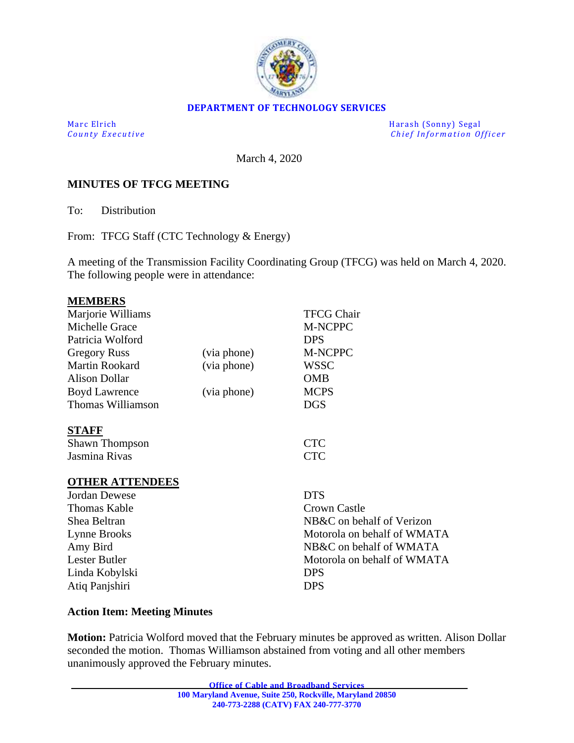

#### **DEPARTMENT OF TECHNOLOGY SERVICES**

Marc Elrich Harash (Sonny) Segal *County Executive* **County Executive Change in the county Executive Chief Information Officer** 

March 4, 2020

#### **MINUTES OF TFCG MEETING**

To: Distribution

From: TFCG Staff (CTC Technology & Energy)

A meeting of the Transmission Facility Coordinating Group (TFCG) was held on March 4, 2020. The following people were in attendance:

| <b>MEMBERS</b>         |             |                             |
|------------------------|-------------|-----------------------------|
| Marjorie Williams      |             | <b>TFCG Chair</b>           |
| Michelle Grace         |             | M-NCPPC                     |
| Patricia Wolford       |             | <b>DPS</b>                  |
| <b>Gregory Russ</b>    | (via phone) | <b>M-NCPPC</b>              |
| <b>Martin Rookard</b>  | (via phone) | <b>WSSC</b>                 |
| <b>Alison Dollar</b>   |             | <b>OMB</b>                  |
| <b>Boyd Lawrence</b>   | (via phone) | <b>MCPS</b>                 |
| Thomas Williamson      |             | <b>DGS</b>                  |
| <b>STAFF</b>           |             |                             |
| <b>Shawn Thompson</b>  |             | <b>CTC</b>                  |
| Jasmina Rivas          |             | <b>CTC</b>                  |
| <b>OTHER ATTENDEES</b> |             |                             |
| <b>Jordan Dewese</b>   |             | <b>DTS</b>                  |
| <b>Thomas Kable</b>    |             | Crown Castle                |
| Shea Beltran           |             | NB&C on behalf of Verizon   |
| Lynne Brooks           |             | Motorola on behalf of WMATA |
| Amy Bird               |             | NB&C on behalf of WMATA     |
| Lester Butler          |             | Motorola on behalf of WMATA |
| Linda Kobylski         |             | <b>DPS</b>                  |
| Atiq Panjshiri         |             | <b>DPS</b>                  |

#### **Action Item: Meeting Minutes**

**Motion:** Patricia Wolford moved that the February minutes be approved as written. Alison Dollar seconded the motion. Thomas Williamson abstained from voting and all other members unanimously approved the February minutes.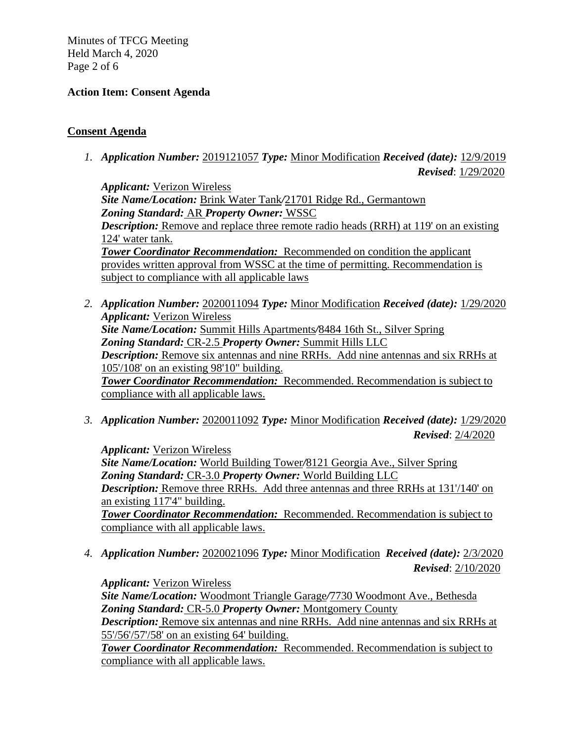Minutes of TFCG Meeting Held March 4, 2020 Page 2 of 6

## **Action Item: Consent Agenda**

## **Consent Agenda**

*1. Application Number:* 2019121057 *Type:* Minor Modification *Received (date):* 12/9/2019 *Revised*: 1/29/2020

*Applicant:* Verizon Wireless *Site Name/Location:* Brink Water Tank*/*21701 Ridge Rd., Germantown *Zoning Standard:* AR *Property Owner:* WSSC *Description:* Remove and replace three remote radio heads (RRH) at 119' on an existing 124' water tank. *Tower Coordinator Recommendation:* Recommended on condition the applicant provides written approval from WSSC at the time of permitting. Recommendation is subject to compliance with all applicable laws

- *2. Application Number:* 2020011094 *Type:* Minor Modification *Received (date):* 1/29/2020 *Applicant:* Verizon Wireless *Site Name/Location:* Summit Hills Apartments*/*8484 16th St., Silver Spring *Zoning Standard:* CR-2.5 *Property Owner:* Summit Hills LLC *Description:* Remove six antennas and nine RRHs. Add nine antennas and six RRHs at 105'/108' on an existing 98'10" building. *Tower Coordinator Recommendation:* Recommended. Recommendation is subject to compliance with all applicable laws.
- *3. Application Number:* 2020011092 *Type:* Minor Modification *Received (date):* 1/29/2020 *Revised*: 2/4/2020

*Applicant:* Verizon Wireless *Site Name/Location:* World Building Tower*/*8121 Georgia Ave., Silver Spring *Zoning Standard:* CR-3.0 *Property Owner:* World Building LLC *Description:* Remove three RRHs. Add three antennas and three RRHs at 131'/140' on an existing 117'4" building. *Tower Coordinator Recommendation:* Recommended. Recommendation is subject to compliance with all applicable laws.

*4. Application Number:* 2020021096 *Type:* Minor Modification *Received (date):* 2/3/2020 *Revised*: 2/10/2020

*Applicant:* Verizon Wireless *Site Name/Location:* Woodmont Triangle Garage*/*7730 Woodmont Ave., Bethesda *Zoning Standard:* CR-5.0 *Property Owner:* Montgomery County *Description:* Remove six antennas and nine RRHs. Add nine antennas and six RRHs at 55'/56'/57'/58' on an existing 64' building.

*Tower Coordinator Recommendation:* Recommended. Recommendation is subject to compliance with all applicable laws.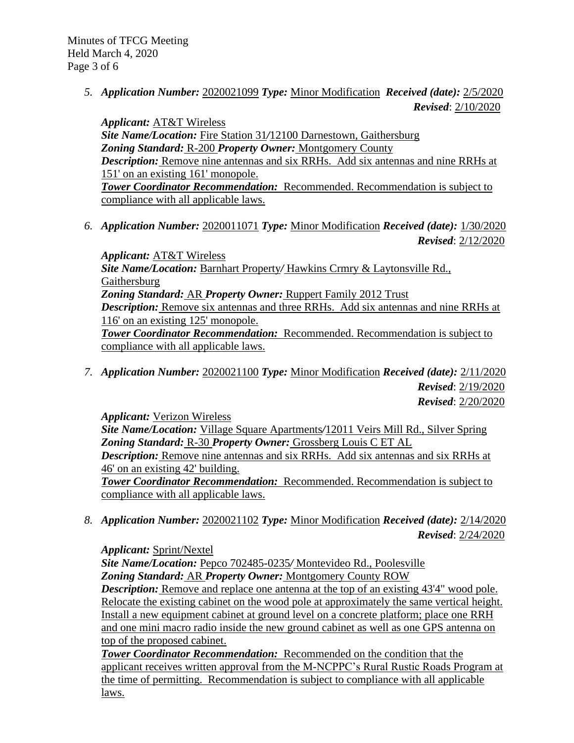*5. Application Number:* 2020021099 *Type:* Minor Modification *Received (date):* 2/5/2020 *Revised*: 2/10/2020

*Applicant:* AT&T Wireless *Site Name/Location:* Fire Station 31*/*12100 Darnestown, Gaithersburg *Zoning Standard:* R-200 *Property Owner:* Montgomery County *Description:* Remove nine antennas and six RRHs. Add six antennas and nine RRHs at 151' on an existing 161' monopole. *Tower Coordinator Recommendation:* Recommended. Recommendation is subject to compliance with all applicable laws.

*6. Application Number:* 2020011071 *Type:* Minor Modification *Received (date):* 1/30/2020 *Revised*: 2/12/2020

*Applicant:* AT&T Wireless *Site Name/Location:* Barnhart Property*/* Hawkins Crmry & Laytonsville Rd., Gaithersburg *Zoning Standard:* AR *Property Owner:* Ruppert Family 2012 Trust *Description:* Remove six antennas and three RRHs. Add six antennas and nine RRHs at 116' on an existing 125' monopole. *Tower Coordinator Recommendation:* Recommended. Recommendation is subject to compliance with all applicable laws.

*7. Application Number:* 2020021100 *Type:* Minor Modification *Received (date):* 2/11/2020 *Revised*: 2/19/2020 *Revised*: 2/20/2020

*Applicant:* Verizon Wireless

*Site Name/Location:* Village Square Apartments*/*12011 Veirs Mill Rd., Silver Spring *Zoning Standard:* R-30 *Property Owner:* Grossberg Louis C ET AL *Description:* Remove nine antennas and six RRHs. Add six antennas and six RRHs at 46' on an existing 42' building. **Tower Coordinator Recommendation:** Recommended. Recommendation is subject to

compliance with all applicable laws.

*8. Application Number:* 2020021102 *Type:* Minor Modification *Received (date):* 2/14/2020 *Revised*: 2/24/2020

*Applicant:* Sprint/Nextel

*Site Name/Location:* Pepco 702485-0235*/* Montevideo Rd., Poolesville *Zoning Standard:* AR *Property Owner:* Montgomery County ROW *Description:* Remove and replace one antenna at the top of an existing 43'4" wood pole. Relocate the existing cabinet on the wood pole at approximately the same vertical height. Install a new equipment cabinet at ground level on a concrete platform; place one RRH and one mini macro radio inside the new ground cabinet as well as one GPS antenna on top of the proposed cabinet.

*Tower Coordinator Recommendation:* Recommended on the condition that the applicant receives written approval from the M-NCPPC's Rural Rustic Roads Program at the time of permitting. Recommendation is subject to compliance with all applicable laws.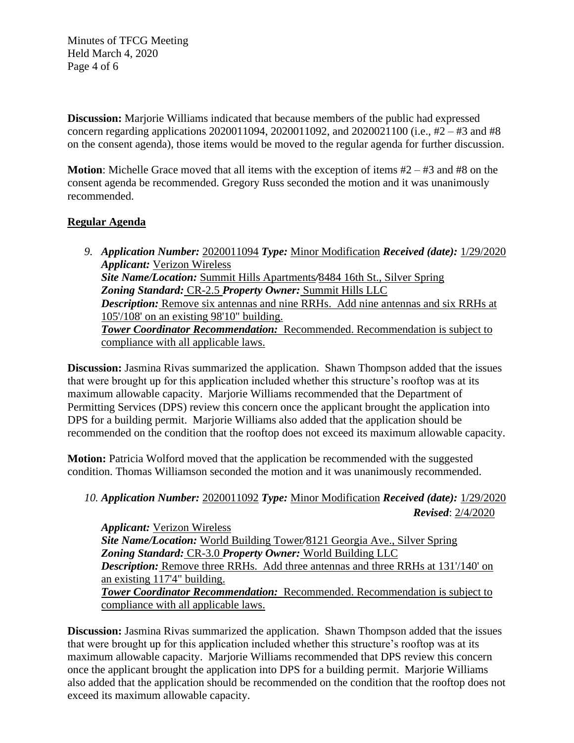Minutes of TFCG Meeting Held March 4, 2020 Page 4 of 6

**Discussion:** Marjorie Williams indicated that because members of the public had expressed concern regarding applications 2020011094, 2020011092, and 2020021100 (i.e., #2 – #3 and #8 on the consent agenda), those items would be moved to the regular agenda for further discussion.

**Motion**: Michelle Grace moved that all items with the exception of items #2 – #3 and #8 on the consent agenda be recommended. Gregory Russ seconded the motion and it was unanimously recommended.

### **Regular Agenda**

| 9. Application Number: 2020011094 Type: Minor Modification Received (date): 1/29/2020    |
|------------------------------------------------------------------------------------------|
| <b>Applicant: Verizon Wireless</b>                                                       |
| Site Name/Location: Summit Hills Apartments/8484 16th St., Silver Spring                 |
| <b>Zoning Standard: CR-2.5 Property Owner: Summit Hills LLC</b>                          |
| <b>Description:</b> Remove six antennas and nine RRHs. Add nine antennas and six RRHs at |
| $105\frac{1}{108}$ on an existing 98'10" building.                                       |
| <b>Tower Coordinator Recommendation:</b> Recommended. Recommendation is subject to       |
| compliance with all applicable laws.                                                     |
|                                                                                          |

**Discussion:** Jasmina Rivas summarized the application. Shawn Thompson added that the issues that were brought up for this application included whether this structure's rooftop was at its maximum allowable capacity. Marjorie Williams recommended that the Department of Permitting Services (DPS) review this concern once the applicant brought the application into DPS for a building permit. Marjorie Williams also added that the application should be recommended on the condition that the rooftop does not exceed its maximum allowable capacity.

**Motion:** Patricia Wolford moved that the application be recommended with the suggested condition. Thomas Williamson seconded the motion and it was unanimously recommended.

# *10. Application Number:* 2020011092 *Type:* Minor Modification *Received (date):* 1/29/2020 *Revised*: 2/4/2020

*Applicant:* Verizon Wireless *Site Name/Location:* World Building Tower*/*8121 Georgia Ave., Silver Spring *Zoning Standard:* CR-3.0 *Property Owner:* World Building LLC *Description:* Remove three RRHs. Add three antennas and three RRHs at 131'/140' on an existing 117'4" building. *Tower Coordinator Recommendation:* Recommended. Recommendation is subject to compliance with all applicable laws.

**Discussion:** Jasmina Rivas summarized the application. Shawn Thompson added that the issues that were brought up for this application included whether this structure's rooftop was at its maximum allowable capacity. Marjorie Williams recommended that DPS review this concern once the applicant brought the application into DPS for a building permit. Marjorie Williams also added that the application should be recommended on the condition that the rooftop does not exceed its maximum allowable capacity.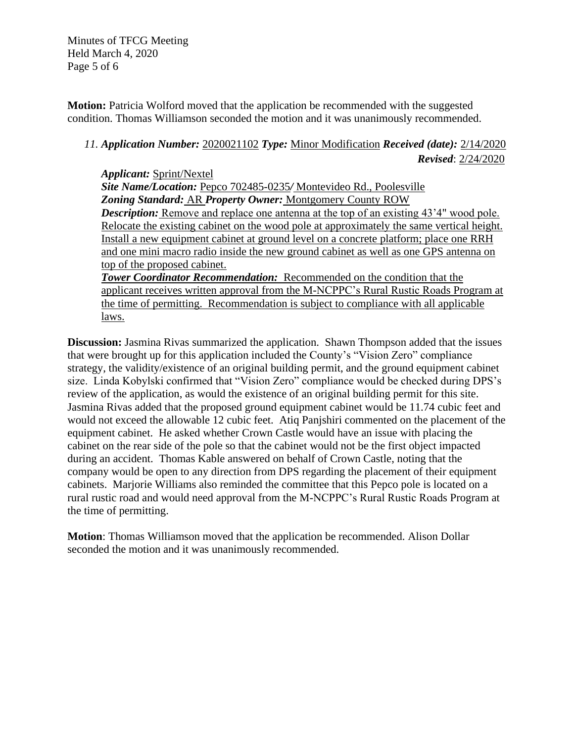Minutes of TFCG Meeting Held March 4, 2020 Page 5 of 6

**Motion:** Patricia Wolford moved that the application be recommended with the suggested condition. Thomas Williamson seconded the motion and it was unanimously recommended.

# *11. Application Number:* 2020021102 *Type:* Minor Modification *Received (date):* 2/14/2020 *Revised*: 2/24/2020

*Applicant:* Sprint/Nextel *Site Name/Location:* Pepco 702485-0235*/* Montevideo Rd., Poolesville *Zoning Standard:* AR *Property Owner:* Montgomery County ROW *Description:* Remove and replace one antenna at the top of an existing 43'4" wood pole. Relocate the existing cabinet on the wood pole at approximately the same vertical height. Install a new equipment cabinet at ground level on a concrete platform; place one RRH and one mini macro radio inside the new ground cabinet as well as one GPS antenna on top of the proposed cabinet.

*Tower Coordinator Recommendation:* Recommended on the condition that the applicant receives written approval from the M-NCPPC's Rural Rustic Roads Program at the time of permitting. Recommendation is subject to compliance with all applicable laws.

**Discussion:** Jasmina Rivas summarized the application. Shawn Thompson added that the issues that were brought up for this application included the County's "Vision Zero" compliance strategy, the validity/existence of an original building permit, and the ground equipment cabinet size. Linda Kobylski confirmed that "Vision Zero" compliance would be checked during DPS's review of the application, as would the existence of an original building permit for this site. Jasmina Rivas added that the proposed ground equipment cabinet would be 11.74 cubic feet and would not exceed the allowable 12 cubic feet. Atiq Panjshiri commented on the placement of the equipment cabinet. He asked whether Crown Castle would have an issue with placing the cabinet on the rear side of the pole so that the cabinet would not be the first object impacted during an accident. Thomas Kable answered on behalf of Crown Castle, noting that the company would be open to any direction from DPS regarding the placement of their equipment cabinets. Marjorie Williams also reminded the committee that this Pepco pole is located on a rural rustic road and would need approval from the M-NCPPC's Rural Rustic Roads Program at the time of permitting.

**Motion**: Thomas Williamson moved that the application be recommended. Alison Dollar seconded the motion and it was unanimously recommended.